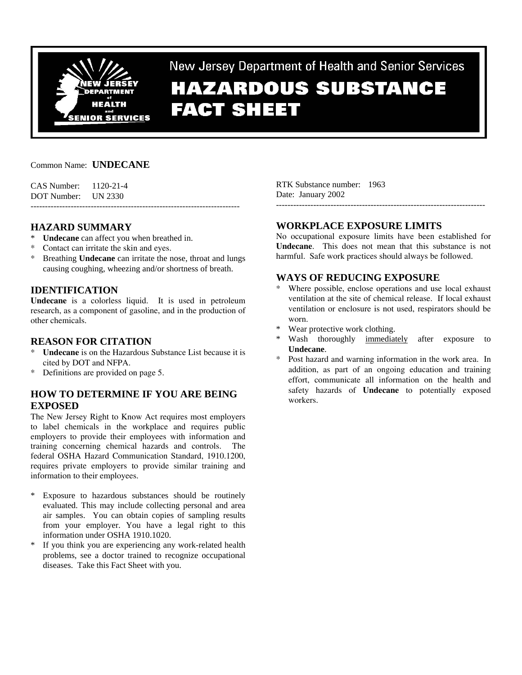

New Jersey Department of Health and Senior Services

# **HAZARDOUS SUBSTANCE FACT SHEET**

#### Common Name: **UNDECANE**

| CAS Number: 1120-21-4 |  |
|-----------------------|--|
| DOT Number: UN 2330   |  |
|                       |  |

## **HAZARD SUMMARY**

- \* **Undecane** can affect you when breathed in.
- Contact can irritate the skin and eyes.
- Breathing **Undecane** can irritate the nose, throat and lungs causing coughing, wheezing and/or shortness of breath.

## **IDENTIFICATION**

**Undecane** is a colorless liquid. It is used in petroleum research, as a component of gasoline, and in the production of other chemicals.

#### **REASON FOR CITATION**

- Undecane is on the Hazardous Substance List because it is cited by DOT and NFPA.
- \* Definitions are provided on page 5.

# **HOW TO DETERMINE IF YOU ARE BEING EXPOSED**

The New Jersey Right to Know Act requires most employers to label chemicals in the workplace and requires public employers to provide their employees with information and training concerning chemical hazards and controls. The federal OSHA Hazard Communication Standard, 1910.1200, requires private employers to provide similar training and information to their employees.

- Exposure to hazardous substances should be routinely evaluated. This may include collecting personal and area air samples. You can obtain copies of sampling results from your employer. You have a legal right to this information under OSHA 1910.1020.
- \* If you think you are experiencing any work-related health problems, see a doctor trained to recognize occupational diseases. Take this Fact Sheet with you.

RTK Substance number: 1963 Date: January 2002 -------------------------------------------------------------------------

#### **WORKPLACE EXPOSURE LIMITS**

No occupational exposure limits have been established for **Undecane**. This does not mean that this substance is not harmful. Safe work practices should always be followed.

# **WAYS OF REDUCING EXPOSURE**

- Where possible, enclose operations and use local exhaust ventilation at the site of chemical release. If local exhaust ventilation or enclosure is not used, respirators should be worn.
- Wear protective work clothing.
- Wash thoroughly immediately after exposure to **Undecane**.
- Post hazard and warning information in the work area. In addition, as part of an ongoing education and training effort, communicate all information on the health and safety hazards of **Undecane** to potentially exposed workers.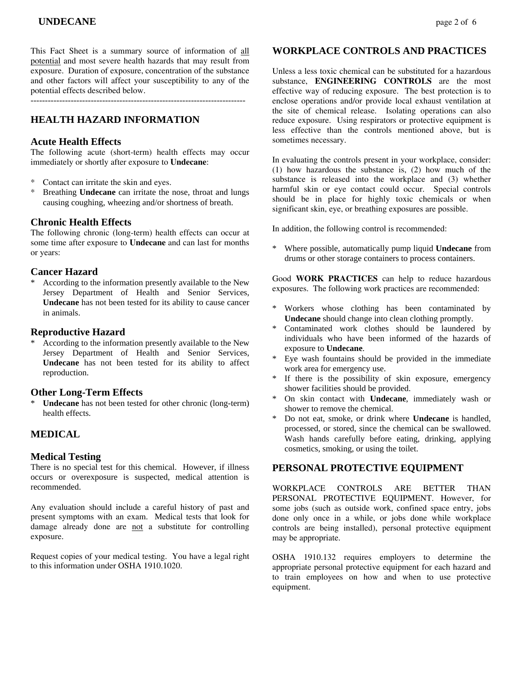This Fact Sheet is a summary source of information of all potential and most severe health hazards that may result from exposure. Duration of exposure, concentration of the substance and other factors will affect your susceptibility to any of the potential effects described below.

---------------------------------------------------------------------------

# **HEALTH HAZARD INFORMATION**

#### **Acute Health Effects**

The following acute (short-term) health effects may occur immediately or shortly after exposure to **Undecane**:

- \* Contact can irritate the skin and eyes.
- \* Breathing **Undecane** can irritate the nose, throat and lungs causing coughing, wheezing and/or shortness of breath.

#### **Chronic Health Effects**

The following chronic (long-term) health effects can occur at some time after exposure to **Undecane** and can last for months or years:

#### **Cancer Hazard**

\* According to the information presently available to the New Jersey Department of Health and Senior Services, **Undecane** has not been tested for its ability to cause cancer in animals.

#### **Reproductive Hazard**

According to the information presently available to the New Jersey Department of Health and Senior Services, **Undecane** has not been tested for its ability to affect reproduction.

#### **Other Long-Term Effects**

Undecane has not been tested for other chronic (long-term) health effects.

# **MEDICAL**

#### **Medical Testing**

There is no special test for this chemical. However, if illness occurs or overexposure is suspected, medical attention is recommended.

Any evaluation should include a careful history of past and present symptoms with an exam. Medical tests that look for damage already done are not a substitute for controlling exposure.

Request copies of your medical testing. You have a legal right to this information under OSHA 1910.1020.

#### **WORKPLACE CONTROLS AND PRACTICES**

Unless a less toxic chemical can be substituted for a hazardous substance, **ENGINEERING CONTROLS** are the most effective way of reducing exposure. The best protection is to enclose operations and/or provide local exhaust ventilation at the site of chemical release. Isolating operations can also reduce exposure. Using respirators or protective equipment is less effective than the controls mentioned above, but is sometimes necessary.

In evaluating the controls present in your workplace, consider: (1) how hazardous the substance is, (2) how much of the substance is released into the workplace and (3) whether harmful skin or eye contact could occur. Special controls should be in place for highly toxic chemicals or when significant skin, eye, or breathing exposures are possible.

In addition, the following control is recommended:

\* Where possible, automatically pump liquid **Undecane** from drums or other storage containers to process containers.

Good **WORK PRACTICES** can help to reduce hazardous exposures. The following work practices are recommended:

- \* Workers whose clothing has been contaminated by **Undecane** should change into clean clothing promptly.
- \* Contaminated work clothes should be laundered by individuals who have been informed of the hazards of exposure to **Undecane**.
- Eye wash fountains should be provided in the immediate work area for emergency use.
- If there is the possibility of skin exposure, emergency shower facilities should be provided.
- On skin contact with **Undecane**, immediately wash or shower to remove the chemical.
- \* Do not eat, smoke, or drink where **Undecane** is handled, processed, or stored, since the chemical can be swallowed. Wash hands carefully before eating, drinking, applying cosmetics, smoking, or using the toilet.

#### **PERSONAL PROTECTIVE EQUIPMENT**

WORKPLACE CONTROLS ARE BETTER THAN PERSONAL PROTECTIVE EQUIPMENT. However, for some jobs (such as outside work, confined space entry, jobs done only once in a while, or jobs done while workplace controls are being installed), personal protective equipment may be appropriate.

OSHA 1910.132 requires employers to determine the appropriate personal protective equipment for each hazard and to train employees on how and when to use protective equipment.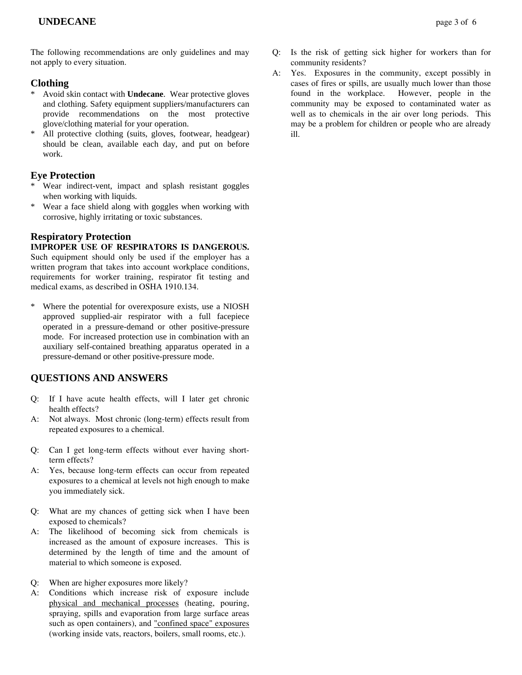# **Clothing**

- Avoid skin contact with **Undecane**. Wear protective gloves and clothing. Safety equipment suppliers/manufacturers can provide recommendations on the most protective glove/clothing material for your operation.
- All protective clothing (suits, gloves, footwear, headgear) should be clean, available each day, and put on before work.

# **Eye Protection**

- \* Wear indirect-vent, impact and splash resistant goggles when working with liquids.
- \* Wear a face shield along with goggles when working with corrosive, highly irritating or toxic substances.

## **Respiratory Protection**

#### **IMPROPER USE OF RESPIRATORS IS DANGEROUS.**

Such equipment should only be used if the employer has a written program that takes into account workplace conditions, requirements for worker training, respirator fit testing and medical exams, as described in OSHA 1910.134.

Where the potential for overexposure exists, use a NIOSH approved supplied-air respirator with a full facepiece operated in a pressure-demand or other positive-pressure mode. For increased protection use in combination with an auxiliary self-contained breathing apparatus operated in a pressure-demand or other positive-pressure mode.

# **QUESTIONS AND ANSWERS**

- Q: If I have acute health effects, will I later get chronic health effects?
- A: Not always. Most chronic (long-term) effects result from repeated exposures to a chemical.
- Q: Can I get long-term effects without ever having shortterm effects?
- A: Yes, because long-term effects can occur from repeated exposures to a chemical at levels not high enough to make you immediately sick.
- Q: What are my chances of getting sick when I have been exposed to chemicals?
- A: The likelihood of becoming sick from chemicals is increased as the amount of exposure increases. This is determined by the length of time and the amount of material to which someone is exposed.
- Q: When are higher exposures more likely?
- A: Conditions which increase risk of exposure include physical and mechanical processes (heating, pouring, spraying, spills and evaporation from large surface areas such as open containers), and "confined space" exposures (working inside vats, reactors, boilers, small rooms, etc.).
- Q: Is the risk of getting sick higher for workers than for community residents?
- A: Yes. Exposures in the community, except possibly in cases of fires or spills, are usually much lower than those found in the workplace. However, people in the community may be exposed to contaminated water as well as to chemicals in the air over long periods. This may be a problem for children or people who are already ill.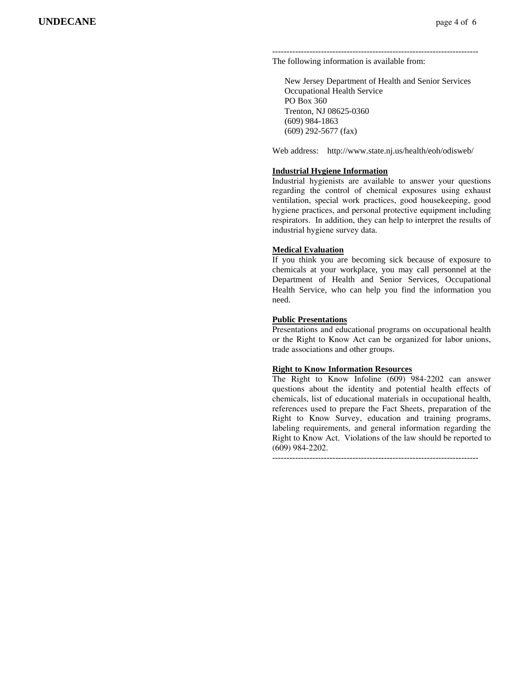------------------------------------------------------------------------ The following information is available from:

 New Jersey Department of Health and Senior Services Occupational Health Service PO Box 360 Trenton, NJ 08625-0360 (609) 984-1863 (609) 292-5677 (fax)

Web address: http://www.state.nj.us/health/eoh/odisweb/

#### **Industrial Hygiene Information**

Industrial hygienists are available to answer your questions regarding the control of chemical exposures using exhaust ventilation, special work practices, good housekeeping, good hygiene practices, and personal protective equipment including respirators. In addition, they can help to interpret the results of industrial hygiene survey data.

#### **Medical Evaluation**

If you think you are becoming sick because of exposure to chemicals at your workplace, you may call personnel at the Department of Health and Senior Services, Occupational Health Service, who can help you find the information you need.

#### **Public Presentations**

Presentations and educational programs on occupational health or the Right to Know Act can be organized for labor unions, trade associations and other groups.

#### **Right to Know Information Resources**

The Right to Know Infoline (609) 984-2202 can answer questions about the identity and potential health effects of chemicals, list of educational materials in occupational health, references used to prepare the Fact Sheets, preparation of the Right to Know Survey, education and training programs, labeling requirements, and general information regarding the Right to Know Act. Violations of the law should be reported to (609) 984-2202.

------------------------------------------------------------------------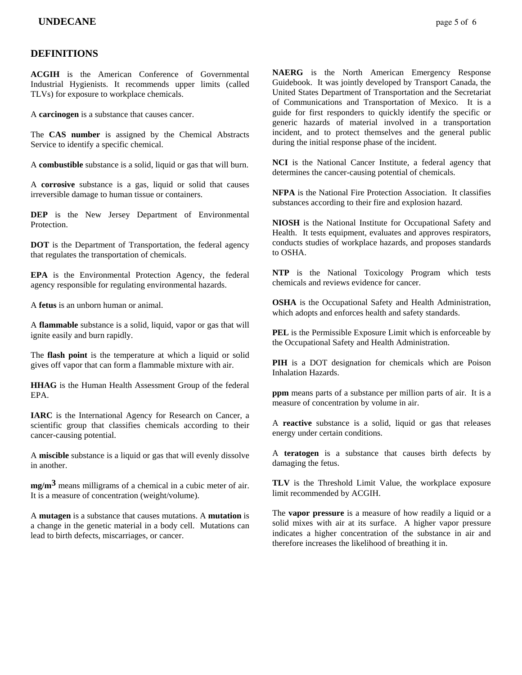#### **DEFINITIONS**

**ACGIH** is the American Conference of Governmental Industrial Hygienists. It recommends upper limits (called TLVs) for exposure to workplace chemicals.

A **carcinogen** is a substance that causes cancer.

The **CAS number** is assigned by the Chemical Abstracts Service to identify a specific chemical.

A **combustible** substance is a solid, liquid or gas that will burn.

A **corrosive** substance is a gas, liquid or solid that causes irreversible damage to human tissue or containers.

**DEP** is the New Jersey Department of Environmental Protection.

**DOT** is the Department of Transportation, the federal agency that regulates the transportation of chemicals.

**EPA** is the Environmental Protection Agency, the federal agency responsible for regulating environmental hazards.

A **fetus** is an unborn human or animal.

A **flammable** substance is a solid, liquid, vapor or gas that will ignite easily and burn rapidly.

The **flash point** is the temperature at which a liquid or solid gives off vapor that can form a flammable mixture with air.

**HHAG** is the Human Health Assessment Group of the federal EPA.

**IARC** is the International Agency for Research on Cancer, a scientific group that classifies chemicals according to their cancer-causing potential.

A **miscible** substance is a liquid or gas that will evenly dissolve in another.

**mg/m3** means milligrams of a chemical in a cubic meter of air. It is a measure of concentration (weight/volume).

A **mutagen** is a substance that causes mutations. A **mutation** is a change in the genetic material in a body cell. Mutations can lead to birth defects, miscarriages, or cancer.

**NAERG** is the North American Emergency Response Guidebook. It was jointly developed by Transport Canada, the United States Department of Transportation and the Secretariat of Communications and Transportation of Mexico. It is a guide for first responders to quickly identify the specific or generic hazards of material involved in a transportation incident, and to protect themselves and the general public during the initial response phase of the incident.

**NCI** is the National Cancer Institute, a federal agency that determines the cancer-causing potential of chemicals.

**NFPA** is the National Fire Protection Association. It classifies substances according to their fire and explosion hazard.

**NIOSH** is the National Institute for Occupational Safety and Health. It tests equipment, evaluates and approves respirators, conducts studies of workplace hazards, and proposes standards to OSHA.

**NTP** is the National Toxicology Program which tests chemicals and reviews evidence for cancer.

**OSHA** is the Occupational Safety and Health Administration, which adopts and enforces health and safety standards.

**PEL** is the Permissible Exposure Limit which is enforceable by the Occupational Safety and Health Administration.

**PIH** is a DOT designation for chemicals which are Poison Inhalation Hazards.

**ppm** means parts of a substance per million parts of air. It is a measure of concentration by volume in air.

A **reactive** substance is a solid, liquid or gas that releases energy under certain conditions.

A **teratogen** is a substance that causes birth defects by damaging the fetus.

**TLV** is the Threshold Limit Value, the workplace exposure limit recommended by ACGIH.

The **vapor pressure** is a measure of how readily a liquid or a solid mixes with air at its surface. A higher vapor pressure indicates a higher concentration of the substance in air and therefore increases the likelihood of breathing it in.